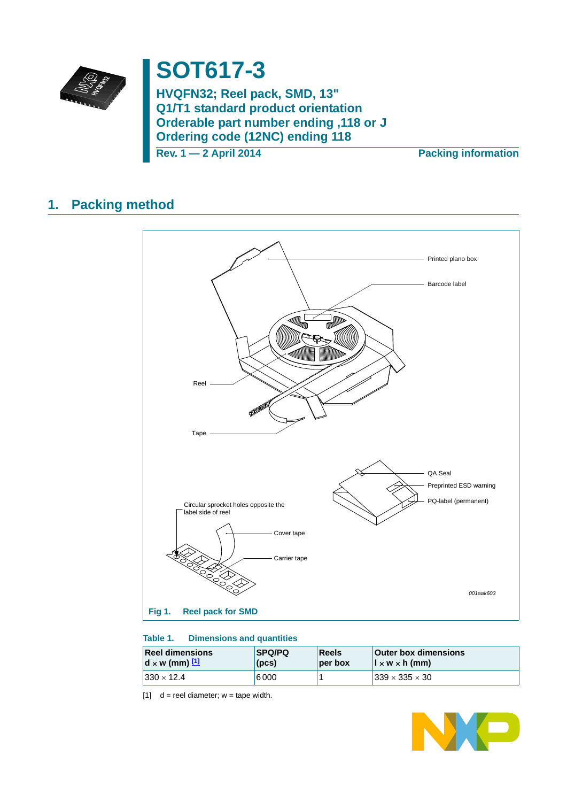

# **SOT617-3**

**HVQFN32; Reel pack, SMD, 13" Q1/T1 standard product orientation Orderable part number ending ,118 or J Ordering code (12NC) ending 118**

**Rev. 1 — 2 April 2014 Packing information**

## **1. Packing method**



### **Table 1. Dimensions and quantities**

| <b>Reel dimensions</b>                           | <b>SPQ/PQ</b> | Reels   | <b>Outer box dimensions</b>     |
|--------------------------------------------------|---------------|---------|---------------------------------|
| $\mathbf{d} \times \mathbf{w}$ (mm) $\mathbf{u}$ | (DCS)         | per box | $\vert x \wedge x \rangle$ (mm) |
| $ 330 \times 12.4 $                              | 6000          |         | $339 \times 335 \times 30$      |

<span id="page-0-0"></span>[1]  $d =$  reel diameter;  $w =$  tape width.

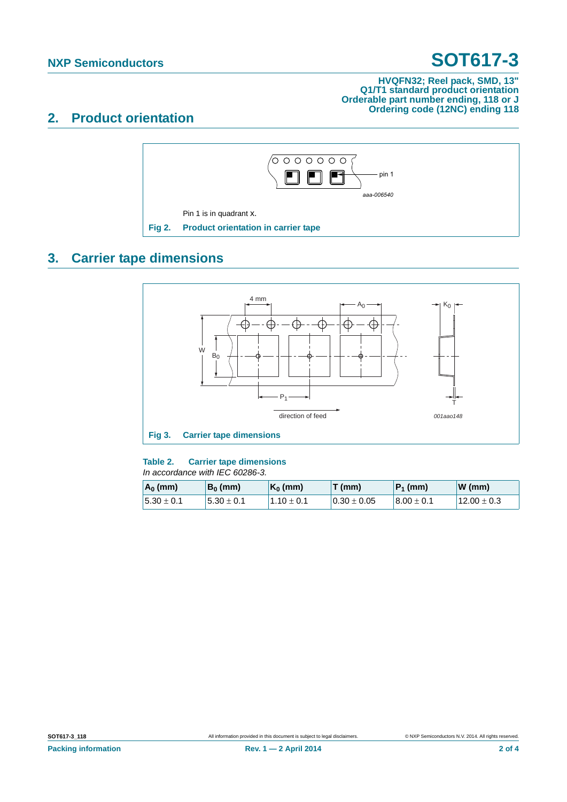# **NXP Semiconductors SOT617-3**

#### **HVQFN32; Reel pack, SMD, 13" Q1/T1 standard product orientation Orderable part number ending, 118 or J Ordering code (12NC) ending 118**

### **2. Product orientation**



## **3. Carrier tape dimensions**



 $5.30 \pm 0.1$   $5.30 \pm 0.1$   $1.10 \pm 0.1$   $0.30 \pm 0.05$   $8.00 \pm 0.1$   $12.00 \pm 0.3$ 

#### **Table 2. Carrier tape dimensions** *Proposed*

| . In accordance with IEC 60286-3 |            |                     |       |             |       |
|----------------------------------|------------|---------------------|-------|-------------|-------|
| $A_0$ (mm)                       | $B_0$ (mm) | $\mathsf{K}_0$ (mm) | T(mm) | $ P_1$ (mm) | W(mm) |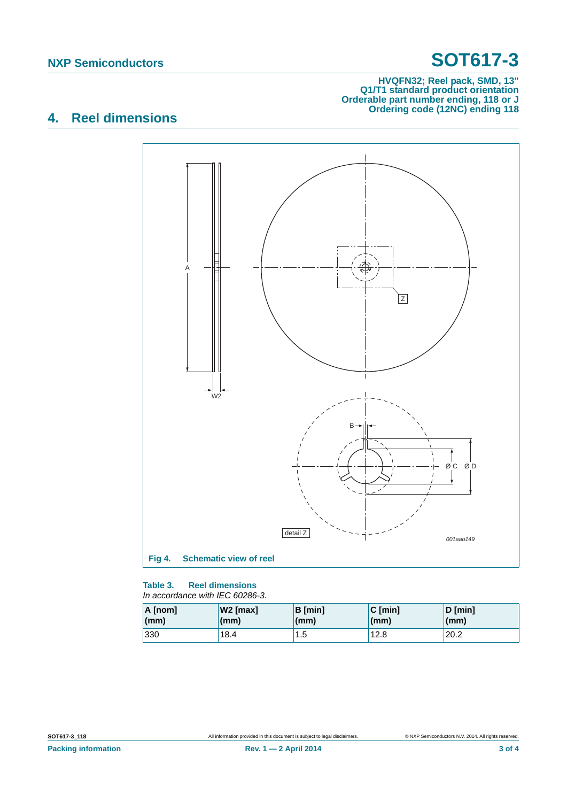# **NXP Semiconductors SOT617-3**

#### **HVQFN32; Reel pack, SMD, 13" Q1/T1 standard product orientation Orderable part number ending, 118 or J Ordering code (12NC) ending 118**

## **4. Reel dimensions**



#### **Table 3. Reel dimensions** *In accordance with IEC 60286-3.*

| A [nom] | $W2$ [max] | $B$ [min] | $C$ [min] | $D$ [min]       |
|---------|------------|-----------|-----------|-----------------|
| (mm)    | (mm)       | (mm)      | (mm)      | $\mathsf{(mm)}$ |
| 330     | 18.4       | 1.5<br>1  | 12.8      | 20.2            |